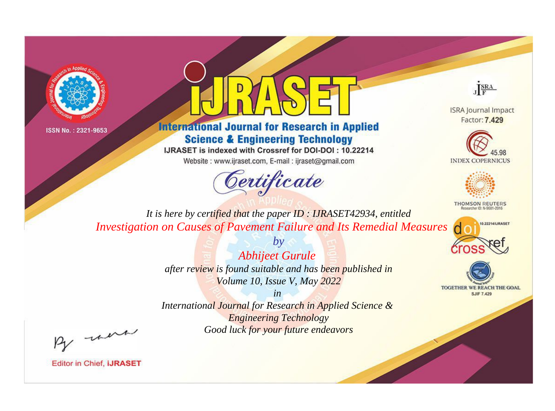



## **International Journal for Research in Applied Science & Engineering Technology**

IJRASET is indexed with Crossref for DOI-DOI: 10.22214

Website: www.ijraset.com, E-mail: ijraset@gmail.com



JERA

**ISRA Journal Impact** Factor: 7.429





**THOMSON REUTERS** 



TOGETHER WE REACH THE GOAL **SJIF 7.429** 

*It is here by certified that the paper ID : IJRASET42934, entitled Investigation on Causes of Pavement Failure and Its Remedial Measures*

> *Abhijeet Gurule after review is found suitable and has been published in Volume 10, Issue V, May 2022*

*by*

*in* 

*International Journal for Research in Applied Science & Engineering Technology Good luck for your future endeavors*

By morn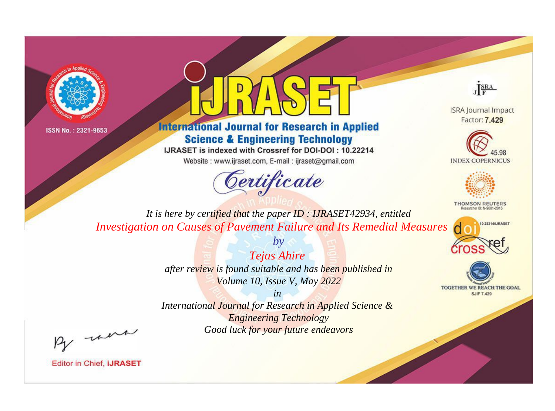



## **International Journal for Research in Applied Science & Engineering Technology**

IJRASET is indexed with Crossref for DOI-DOI: 10.22214

Website: www.ijraset.com, E-mail: ijraset@gmail.com



JERA

**ISRA Journal Impact** Factor: 7.429





**THOMSON REUTERS** 



TOGETHER WE REACH THE GOAL **SJIF 7.429** 

*It is here by certified that the paper ID : IJRASET42934, entitled Investigation on Causes of Pavement Failure and Its Remedial Measures*

> *Tejas Ahire after review is found suitable and has been published in Volume 10, Issue V, May 2022*

*by*

*in* 

*International Journal for Research in Applied Science & Engineering Technology Good luck for your future endeavors*

By morn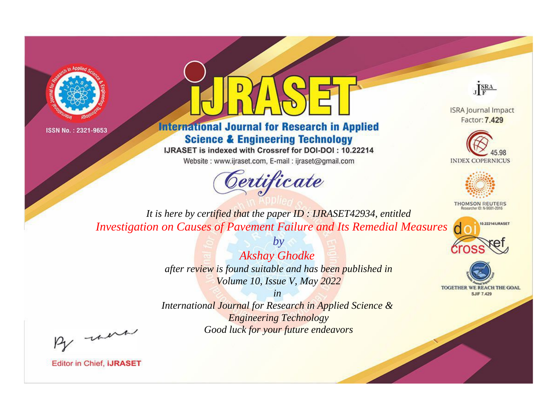



## **International Journal for Research in Applied Science & Engineering Technology**

IJRASET is indexed with Crossref for DOI-DOI: 10.22214

Website: www.ijraset.com, E-mail: ijraset@gmail.com



JERA

**ISRA Journal Impact** Factor: 7.429





**THOMSON REUTERS** 



TOGETHER WE REACH THE GOAL **SJIF 7.429** 

*It is here by certified that the paper ID : IJRASET42934, entitled Investigation on Causes of Pavement Failure and Its Remedial Measures*

> *by Akshay Ghodke after review is found suitable and has been published in Volume 10, Issue V, May 2022*

> > *in*

*International Journal for Research in Applied Science & Engineering Technology Good luck for your future endeavors*

By morn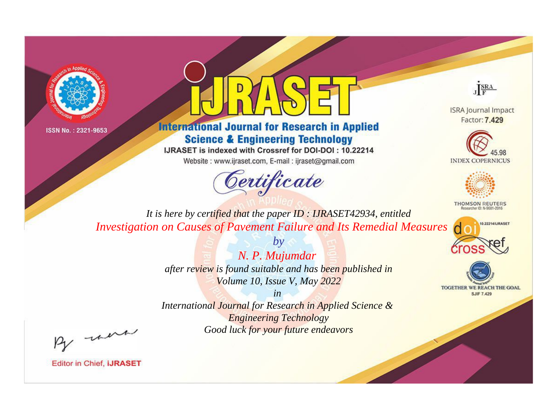



## **International Journal for Research in Applied Science & Engineering Technology**

IJRASET is indexed with Crossref for DOI-DOI: 10.22214

Website: www.ijraset.com, E-mail: ijraset@gmail.com



JERA

**ISRA Journal Impact** Factor: 7.429





**THOMSON REUTERS** 



TOGETHER WE REACH THE GOAL **SJIF 7.429** 

*It is here by certified that the paper ID : IJRASET42934, entitled Investigation on Causes of Pavement Failure and Its Remedial Measures*

> *by N. P. Mujumdar after review is found suitable and has been published in Volume 10, Issue V, May 2022*

> > *in*

*International Journal for Research in Applied Science & Engineering Technology Good luck for your future endeavors*

By morn